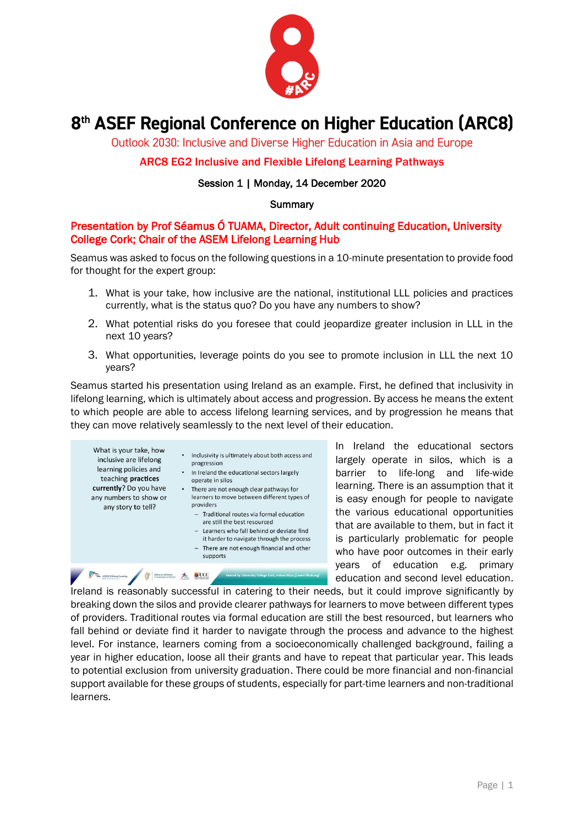

# 8<sup>th</sup> ASEF Regional Conference on Higher Education (ARC8)

Outlook 2030: Inclusive and Diverse Higher Education in Asia and Europe

## ARC8 EG2 Inclusive and Flexible Lifelong Learning Pathways

## Session 1 | Monday, 14 December 2020

## **Summary**

## Presentation by Prof Séamus Ó TUAMA, Director, Adult continuing Education, University College Cork; Chair of the ASEM Lifelong Learning Hub

Seamus was asked to focus on the following questions in a 10-minute presentation to provide food for thought for the expert group:

- 1. What is your take, how inclusive are the national, institutional LLL policies and practices currently, what is the status quo? Do you have any numbers to show?
- 2. What potential risks do you foresee that could jeopardize greater inclusion in LLL in the next 10 years?
- 3. What opportunities, leverage points do you see to promote inclusion in LLL the next 10 years?

Seamus started his presentation using Ireland as an example. First, he defined that inclusivity in lifelong learning, which is ultimately about access and progression. By access he means the extent to which people are able to access lifelong learning services, and by progression he means that they can move relatively seamlessly to the next level of their education.



In Ireland the educational sectors largely operate in silos, which is a barrier to life-long and life-wide learning. There is an assumption that it is easy enough for people to navigate the various educational opportunities that are available to them, but in fact it is particularly problematic for people who have poor outcomes in their early years of education e.g. primary education and second level education.

Ireland is reasonably successful in catering to their needs, but it could improve significantly by breaking down the silos and provide clearer pathways for learners to move between different types of providers. Traditional routes via formal education are still the best resourced, but learners who fall behind or deviate find it harder to navigate through the process and advance to the highest level. For instance, learners coming from a socioeconomically challenged background, failing a year in higher education, loose all their grants and have to repeat that particular year. This leads to potential exclusion from university graduation. There could be more financial and non-financial support available for these groups of students, especially for part-time learners and non-traditional learners.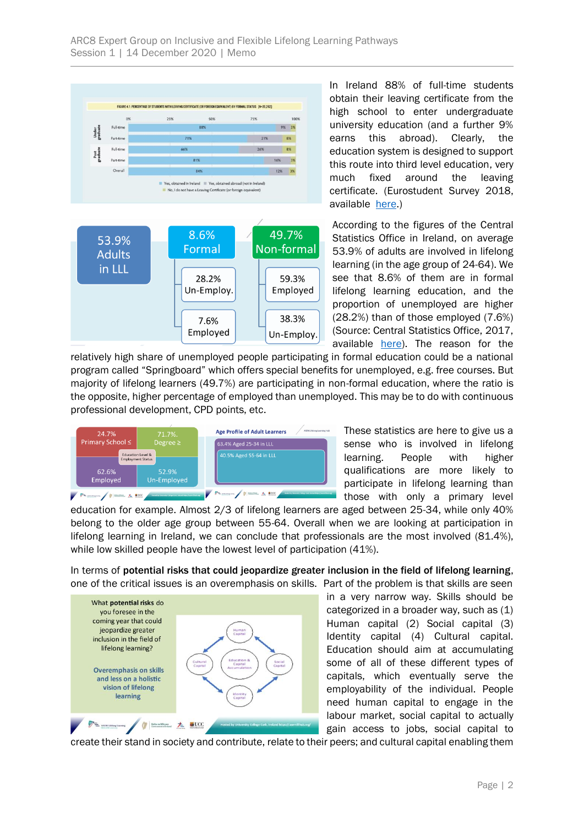

In Ireland 88% of full-time students obtain their leaving certificate from the high school to enter undergraduate university education (and a further 9% earns this abroad). Clearly, the education system is designed to support this route into third level education, very much fixed around the leaving certificate. (Eurostudent Survey 2018, available [here.](https://hea.ie/assets/uploads/2018/01/HEA-Eurostudent-Survey.pdf))

According to the figures of the Central Statistics Office in Ireland, on average 53.9% of adults are involved in lifelong learning (in the age group of 24-64). We see that 8.6% of them are in formal lifelong learning education, and the proportion of unemployed are higher (28.2%) than of those employed (7.6%) (Source: Central Statistics Office, 2017, available [here\)](https://www.cso.ie/en/releasesandpublications/er/aes/adulteducationsurvey2017/). The reason for the

relatively high share of unemployed people participating in formal education could be a national program called "Springboard" which offers special benefits for unemployed, e.g. free courses. But majority of lifelong learners (49.7%) are participating in non-formal education, where the ratio is the opposite, higher percentage of employed than unemployed. This may be to do with continuous professional development, CPD points, etc.



These statistics are here to give us a sense who is involved in lifelong learning. People with higher qualifications are more likely to participate in lifelong learning than those with only a primary level

education for example. Almost 2/3 of lifelong learners are aged between 25-34, while only 40% belong to the older age group between 55-64. Overall when we are looking at participation in lifelong learning in Ireland, we can conclude that professionals are the most involved (81.4%), while low skilled people have the lowest level of participation (41%).

In terms of potential risks that could jeopardize greater inclusion in the field of lifelong learning, one of the critical issues is an overemphasis on skills. Part of the problem is that skills are seen



in a very narrow way. Skills should be categorized in a broader way, such as (1) Human capital (2) Social capital (3) Identity capital (4) Cultural capital. Education should aim at accumulating some of all of these different types of capitals, which eventually serve the employability of the individual. People need human capital to engage in the labour market, social capital to actually gain access to jobs, social capital to

create their stand in society and contribute, relate to their peers; and cultural capital enabling them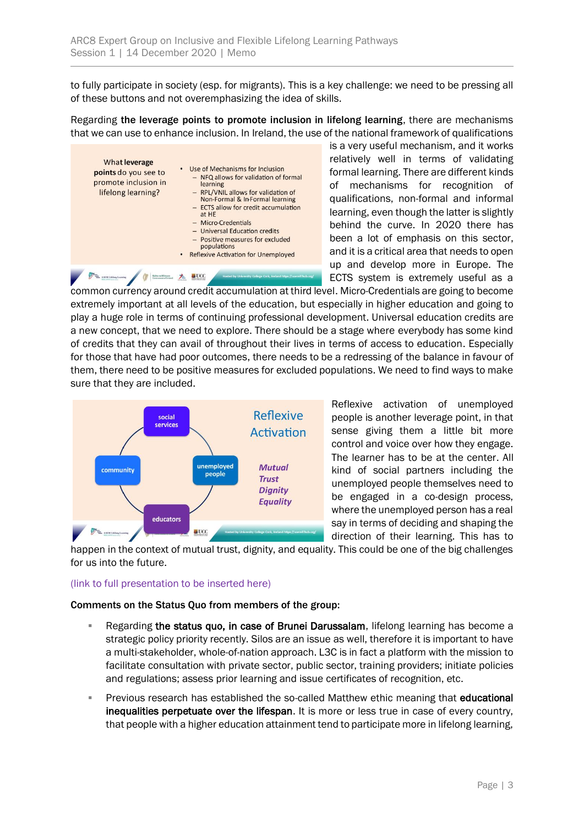to fully participate in society (esp. for migrants). This is a key challenge: we need to be pressing all of these buttons and not overemphasizing the idea of skills.

Regarding the leverage points to promote inclusion in lifelong learning, there are mechanisms that we can use to enhance inclusion. In Ireland, the use of the national framework of qualifications



is a very useful mechanism, and it works relatively well in terms of validating formal learning. There are different kinds of mechanisms for recognition of qualifications, non-formal and informal learning, even though the latter is slightly behind the curve. In 2020 there has been a lot of emphasis on this sector, and it is a critical area that needs to open up and develop more in Europe. The ECTS system is extremely useful as a

common currency around credit accumulation at third level. Micro-Credentials are going to become extremely important at all levels of the education, but especially in higher education and going to play a huge role in terms of continuing professional development. Universal education credits are a new concept, that we need to explore. There should be a stage where everybody has some kind of credits that they can avail of throughout their lives in terms of access to education. Especially for those that have had poor outcomes, there needs to be a redressing of the balance in favour of them, there need to be positive measures for excluded populations. We need to find ways to make sure that they are included.



Reflexive activation of unemployed people is another leverage point, in that sense giving them a little bit more control and voice over how they engage. The learner has to be at the center. All kind of social partners including the unemployed people themselves need to be engaged in a co-design process, where the unemployed person has a real say in terms of deciding and shaping the direction of their learning. This has to

happen in the context of mutual trust, dignity, and equality. This could be one of the big challenges for us into the future.

## (link to full presentation to be inserted here)

## Comments on the Status Quo from members of the group:

- Regarding the status quo, in case of Brunei Darussalam, lifelong learning has become a strategic policy priority recently. Silos are an issue as well, therefore it is important to have a multi-stakeholder, whole-of-nation approach. L3C is in fact a platform with the mission to facilitate consultation with private sector, public sector, training providers; initiate policies and regulations; assess prior learning and issue certificates of recognition, etc.
- **Previous research has established the so-called Matthew ethic meaning that educational** inequalities perpetuate over the lifespan. It is more or less true in case of every country, that people with a higher education attainment tend to participate more in lifelong learning,